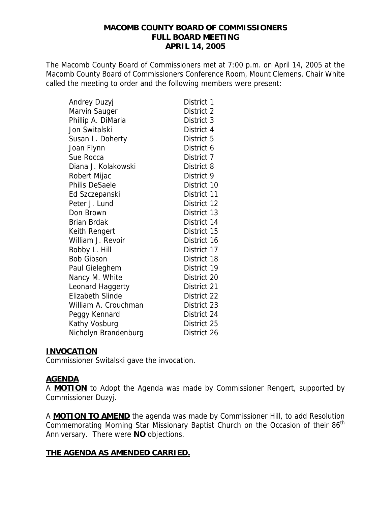### **MACOMB COUNTY BOARD OF COMMISSIONERS FULL BOARD MEETING APRIL 14, 2005**

The Macomb County Board of Commissioners met at 7:00 p.m. on April 14, 2005 at the Macomb County Board of Commissioners Conference Room, Mount Clemens. Chair White called the meeting to order and the following members were present:

| Andrey Duzyj            | District 1  |
|-------------------------|-------------|
| Marvin Sauger           | District 2  |
| Phillip A. DiMaria      | District 3  |
| Jon Switalski           | District 4  |
| Susan L. Doherty        | District 5  |
| Joan Flynn              | District 6  |
| Sue Rocca               | District 7  |
| Diana J. Kolakowski     | District 8  |
| Robert Mijac            | District 9  |
| Philis DeSaele          | District 10 |
| Ed Szczepanski          | District 11 |
| Peter J. Lund           | District 12 |
| Don Brown               | District 13 |
| Brian Brdak             | District 14 |
| Keith Rengert           | District 15 |
| William J. Revoir       | District 16 |
| Bobby L. Hill           | District 17 |
| <b>Bob Gibson</b>       | District 18 |
| Paul Gieleghem          | District 19 |
| Nancy M. White          | District 20 |
| Leonard Haggerty        | District 21 |
| <b>Elizabeth Slinde</b> | District 22 |
| William A. Crouchman    | District 23 |
| Peggy Kennard           | District 24 |
| Kathy Vosburg           | District 25 |
| Nicholyn Brandenburg    | District 26 |

### **INVOCATION**

Commissioner Switalski gave the invocation.

# **AGENDA**

A **MOTION** to Adopt the Agenda was made by Commissioner Rengert, supported by Commissioner Duzyj.

A **MOTION TO AMEND** the agenda was made by Commissioner Hill, to add Resolution Commemorating Morning Star Missionary Baptist Church on the Occasion of their 86<sup>th</sup> Anniversary. There were **NO** objections.

# **THE AGENDA AS AMENDED CARRIED.**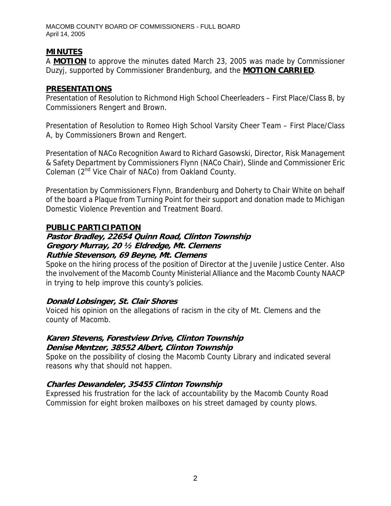# **MINUTES**

A **MOTION** to approve the minutes dated March 23, 2005 was made by Commissioner Duzyj, supported by Commissioner Brandenburg, and the **MOTION CARRIED**.

# **PRESENTATIONS**

Presentation of Resolution to Richmond High School Cheerleaders – First Place/Class B, by Commissioners Rengert and Brown.

Presentation of Resolution to Romeo High School Varsity Cheer Team – First Place/Class A, by Commissioners Brown and Rengert.

Presentation of NACo Recognition Award to Richard Gasowski, Director, Risk Management & Safety Department by Commissioners Flynn (NACo Chair), Slinde and Commissioner Eric Coleman  $(2^{nd}$  Vice Chair of NACo) from Oakland County.

Presentation by Commissioners Flynn, Brandenburg and Doherty to Chair White on behalf of the board a Plaque from Turning Point for their support and donation made to Michigan Domestic Violence Prevention and Treatment Board.

# **PUBLIC PARTICIPATION**

### **Pastor Bradley, 22654 Quinn Road, Clinton Township Gregory Murray, 20 ½ Eldredge, Mt. Clemens Ruthie Stevenson, 69 Beyne, Mt. Clemens**

Spoke on the hiring process of the position of Director at the Juvenile Justice Center. Also the involvement of the Macomb County Ministerial Alliance and the Macomb County NAACP in trying to help improve this county's policies.

# **Donald Lobsinger, St. Clair Shores**

Voiced his opinion on the allegations of racism in the city of Mt. Clemens and the county of Macomb.

# **Karen Stevens, Forestview Drive, Clinton Township Denise Mentzer, 38552 Albert, Clinton Township**

Spoke on the possibility of closing the Macomb County Library and indicated several reasons why that should not happen.

# **Charles Dewandeler, 35455 Clinton Township**

Expressed his frustration for the lack of accountability by the Macomb County Road Commission for eight broken mailboxes on his street damaged by county plows.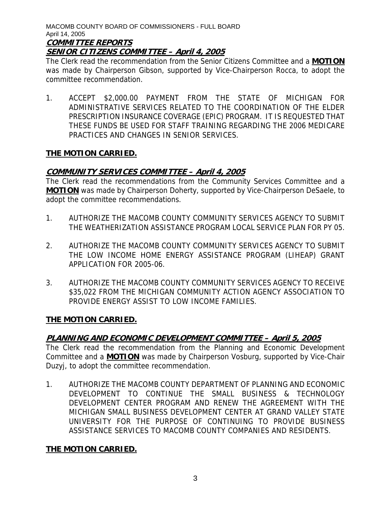#### MACOMB COUNTY BOARD OF COMMISSIONERS - FULL BOARD April 14, 2005 **COMMITTEE REPORTS**

### **SENIOR CITIZENS COMMITTEE – April 4, 2005**

The Clerk read the recommendation from the Senior Citizens Committee and a **MOTION** was made by Chairperson Gibson, supported by Vice-Chairperson Rocca, to adopt the committee recommendation.

1. ACCEPT \$2,000.00 PAYMENT FROM THE STATE OF MICHIGAN FOR ADMINISTRATIVE SERVICES RELATED TO THE COORDINATION OF THE ELDER PRESCRIPTION INSURANCE COVERAGE (EPIC) PROGRAM. IT IS REQUESTED THAT THESE FUNDS BE USED FOR STAFF TRAINING REGARDING THE 2006 MEDICARE PRACTICES AND CHANGES IN SENIOR SERVICES.

### **THE MOTION CARRIED.**

# **COMMUNITY SERVICES COMMITTEE – April 4, 2005**

The Clerk read the recommendations from the Community Services Committee and a **MOTION** was made by Chairperson Doherty, supported by Vice-Chairperson DeSaele, to adopt the committee recommendations.

- 1. AUTHORIZE THE MACOMB COUNTY COMMUNITY SERVICES AGENCY TO SUBMIT THE WEATHERIZATION ASSISTANCE PROGRAM LOCAL SERVICE PLAN FOR PY 05.
- 2. AUTHORIZE THE MACOMB COUNTY COMMUNITY SERVICES AGENCY TO SUBMIT THE LOW INCOME HOME ENERGY ASSISTANCE PROGRAM (LIHEAP) GRANT APPLICATION FOR 2005-06.
- 3. AUTHORIZE THE MACOMB COUNTY COMMUNITY SERVICES AGENCY TO RECEIVE \$35,022 FROM THE MICHIGAN COMMUNITY ACTION AGENCY ASSOCIATION TO PROVIDE ENERGY ASSIST TO LOW INCOME FAMILIES.

### **THE MOTION CARRIED.**

# **PLANNING AND ECONOMIC DEVELOPMENT COMMITTEE – April 5, 2005**

The Clerk read the recommendation from the Planning and Economic Development Committee and a **MOTION** was made by Chairperson Vosburg, supported by Vice-Chair Duzyj, to adopt the committee recommendation.

1. AUTHORIZE THE MACOMB COUNTY DEPARTMENT OF PLANNING AND ECONOMIC DEVELOPMENT TO CONTINUE THE SMALL BUSINESS & TECHNOLOGY DEVELOPMENT CENTER PROGRAM AND RENEW THE AGREEMENT WITH THE MICHIGAN SMALL BUSINESS DEVELOPMENT CENTER AT GRAND VALLEY STATE UNIVERSITY FOR THE PURPOSE OF CONTINUING TO PROVIDE BUSINESS ASSISTANCE SERVICES TO MACOMB COUNTY COMPANIES AND RESIDENTS.

# **THE MOTION CARRIED.**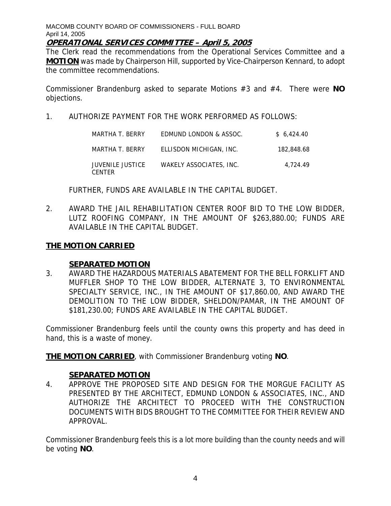### **OPERATIONAL SERVICES COMMITTEE – April 5, 2005**

The Clerk read the recommendations from the Operational Services Committee and a **MOTION** was made by Chairperson Hill, supported by Vice-Chairperson Kennard, to adopt the committee recommendations.

Commissioner Brandenburg asked to separate Motions #3 and #4. There were **NO** objections.

1. AUTHORIZE PAYMENT FOR THE WORK PERFORMED AS FOLLOWS:

| MARTHA T. BERRY                          | EDMUND LONDON & ASSOC.  | \$6.424.40 |
|------------------------------------------|-------------------------|------------|
| MARTHA T. BERRY                          | ELLISDON MICHIGAN, INC. | 182.848.68 |
| <b>JUVENILE JUSTICE</b><br><b>CENTER</b> | WAKELY ASSOCIATES, INC. | 4.724.49   |

FURTHER, FUNDS ARE AVAILABLE IN THE CAPITAL BUDGET.

2. AWARD THE JAIL REHABILITATION CENTER ROOF BID TO THE LOW BIDDER, LUTZ ROOFING COMPANY, IN THE AMOUNT OF \$263,880.00; FUNDS ARE AVAILABLE IN THE CAPITAL BUDGET.

# **THE MOTION CARRIED**

### **SEPARATED MOTION**

3. AWARD THE HAZARDOUS MATERIALS ABATEMENT FOR THE BELL FORKLIFT AND MUFFLER SHOP TO THE LOW BIDDER, ALTERNATE 3, TO ENVIRONMENTAL SPECIALTY SERVICE, INC., IN THE AMOUNT OF \$17,860.00, AND AWARD THE DEMOLITION TO THE LOW BIDDER, SHELDON/PAMAR, IN THE AMOUNT OF \$181,230.00; FUNDS ARE AVAILABLE IN THE CAPITAL BUDGET.

Commissioner Brandenburg feels until the county owns this property and has deed in hand, this is a waste of money.

**THE MOTION CARRIED**, with Commissioner Brandenburg voting **NO**.

### **SEPARATED MOTION**

4. APPROVE THE PROPOSED SITE AND DESIGN FOR THE MORGUE FACILITY AS PRESENTED BY THE ARCHITECT, EDMUND LONDON & ASSOCIATES, INC., AND AUTHORIZE THE ARCHITECT TO PROCEED WITH THE CONSTRUCTION DOCUMENTS WITH BIDS BROUGHT TO THE COMMITTEE FOR THEIR REVIEW AND APPROVAL.

Commissioner Brandenburg feels this is a lot more building than the county needs and will be voting **NO**.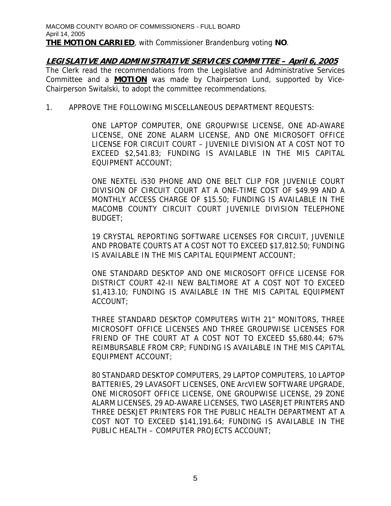### **LEGISLATIVE AND ADMINISTRATIVE SERVICES COMMITTEE – April 6, 2005**  The Clerk read the recommendations from the Legislative and Administrative Services Committee and a **MOTION** was made by Chairperson Lund, supported by Vice-Chairperson Switalski, to adopt the committee recommendations.

1. APPROVE THE FOLLOWING MISCELLANEOUS DEPARTMENT REQUESTS:

ONE LAPTOP COMPUTER, ONE GROUPWISE LICENSE, ONE AD-AWARE LICENSE, ONE ZONE ALARM LICENSE, AND ONE MICROSOFT OFFICE LICENSE FOR CIRCUIT COURT – JUVENILE DIVISION AT A COST NOT TO EXCEED \$2,541.83; FUNDING IS AVAILABLE IN THE MIS CAPITAL EQUIPMENT ACCOUNT;

ONE NEXTEL i530 PHONE AND ONE BELT CLIP FOR JUVENILE COURT DIVISION OF CIRCUIT COURT AT A ONE-TIME COST OF \$49.99 AND A MONTHLY ACCESS CHARGE OF \$15.50; FUNDING IS AVAILABLE IN THE MACOMB COUNTY CIRCUIT COURT JUVENILE DIVISION TELEPHONE BUDGET;

19 CRYSTAL REPORTING SOFTWARE LICENSES FOR CIRCUIT, JUVENILE AND PROBATE COURTS AT A COST NOT TO EXCEED \$17,812.50; FUNDING IS AVAILABLE IN THE MIS CAPITAL EQUIPMENT ACCOUNT;

ONE STANDARD DESKTOP AND ONE MICROSOFT OFFICE LICENSE FOR DISTRICT COURT 42-II NEW BALTIMORE AT A COST NOT TO EXCEED \$1,413.10; FUNDING IS AVAILABLE IN THE MIS CAPITAL EQUIPMENT ACCOUNT;

THREE STANDARD DESKTOP COMPUTERS WITH 21" MONITORS, THREE MICROSOFT OFFICE LICENSES AND THREE GROUPWISE LICENSES FOR FRIEND OF THE COURT AT A COST NOT TO EXCEED \$5,680.44; 67% REIMBURSABLE FROM CRP; FUNDING IS AVAILABLE IN THE MIS CAPITAL EQUIPMENT ACCOUNT;

80 STANDARD DESKTOP COMPUTERS, 29 LAPTOP COMPUTERS, 10 LAPTOP BATTERIES, 29 LAVASOFT LICENSES, ONE ArcVIEW SOFTWARE UPGRADE, ONE MICROSOFT OFFICE LICENSE, ONE GROUPWISE LICENSE, 29 ZONE ALARM LICENSES, 29 AD-AWARE LICENSES, TWO LASERJET PRINTERS AND THREE DESKJET PRINTERS FOR THE PUBLIC HEALTH DEPARTMENT AT A COST NOT TO EXCEED \$141,191.64; FUNDING IS AVAILABLE IN THE PUBLIC HEALTH – COMPUTER PROJECTS ACCOUNT;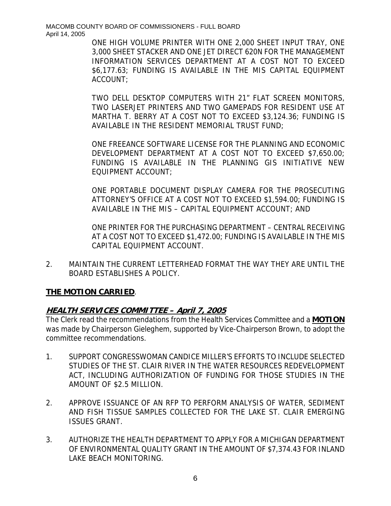> ONE HIGH VOLUME PRINTER WITH ONE 2,000 SHEET INPUT TRAY, ONE 3,000 SHEET STACKER AND ONE JET DIRECT 620N FOR THE MANAGEMENT INFORMATION SERVICES DEPARTMENT AT A COST NOT TO EXCEED \$6,177.63; FUNDING IS AVAILABLE IN THE MIS CAPITAL EQUIPMENT ACCOUNT;

> TWO DELL DESKTOP COMPUTERS WITH 21" FLAT SCREEN MONITORS, TWO LASERJET PRINTERS AND TWO GAMEPADS FOR RESIDENT USE AT MARTHA T. BERRY AT A COST NOT TO EXCEED \$3,124.36; FUNDING IS AVAILABLE IN THE RESIDENT MEMORIAL TRUST FUND;

> ONE FREEANCE SOFTWARE LICENSE FOR THE PLANNING AND ECONOMIC DEVELOPMENT DEPARTMENT AT A COST NOT TO EXCEED \$7,650.00; FUNDING IS AVAILABLE IN THE PLANNING GIS INITIATIVE NEW EQUIPMENT ACCOUNT;

> ONE PORTABLE DOCUMENT DISPLAY CAMERA FOR THE PROSECUTING ATTORNEY'S OFFICE AT A COST NOT TO EXCEED \$1,594.00; FUNDING IS AVAILABLE IN THE MIS – CAPITAL EQUIPMENT ACCOUNT; AND

> ONE PRINTER FOR THE PURCHASING DEPARTMENT – CENTRAL RECEIVING AT A COST NOT TO EXCEED \$1,472.00; FUNDING IS AVAILABLE IN THE MIS CAPITAL EQUIPMENT ACCOUNT.

2. MAINTAIN THE CURRENT LETTERHEAD FORMAT THE WAY THEY ARE UNTIL THE BOARD ESTABLISHES A POLICY.

# **THE MOTION CARRIED**.

# **HEALTH SERVICES COMMITTEE – April 7, 2005**

The Clerk read the recommendations from the Health Services Committee and a **MOTION** was made by Chairperson Gieleghem, supported by Vice-Chairperson Brown, to adopt the committee recommendations.

- 1. SUPPORT CONGRESSWOMAN CANDICE MILLER'S EFFORTS TO INCLUDE SELECTED STUDIES OF THE ST. CLAIR RIVER IN THE WATER RESOURCES REDEVELOPMENT ACT, INCLUDING AUTHORIZATION OF FUNDING FOR THOSE STUDIES IN THE AMOUNT OF \$2.5 MILLION.
- 2. APPROVE ISSUANCE OF AN RFP TO PERFORM ANALYSIS OF WATER, SEDIMENT AND FISH TISSUE SAMPLES COLLECTED FOR THE LAKE ST. CLAIR EMERGING ISSUES GRANT.
- 3. AUTHORIZE THE HEALTH DEPARTMENT TO APPLY FOR A MICHIGAN DEPARTMENT OF ENVIRONMENTAL QUALITY GRANT IN THE AMOUNT OF \$7,374.43 FOR INLAND LAKE BEACH MONITORING.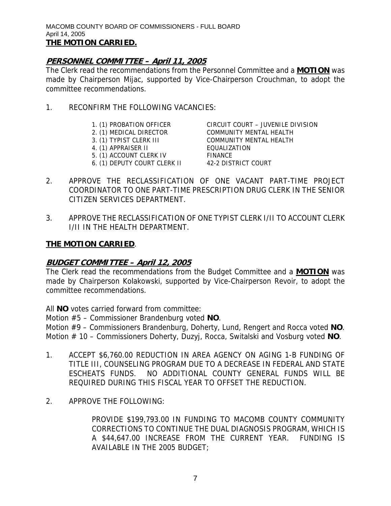# **PERSONNEL COMMITTEE – April 11, 2005**

The Clerk read the recommendations from the Personnel Committee and a **MOTION** was made by Chairperson Mijac, supported by Vice-Chairperson Crouchman, to adopt the committee recommendations.

- 1. RECONFIRM THE FOLLOWING VACANCIES:
	-
	-
	-
	- 4. (1) APPRAISER II
	- 5. (1) ACCOUNT CLERK IV FINANCE
	- 6. (1) DEPUTY COURT CLERK II 42-2 DISTRICT COURT

1. (1) PROBATION OFFICER CIRCUIT COURT – JUVENILE DIVISION 2. (1) MEDICAL DIRECTOR COMMUNITY MENTAL HEALTH 3. (1) TYPIST CLERK III COMMUNITY MENTAL HEALTH

- 2. APPROVE THE RECLASSIFICATION OF ONE VACANT PART-TIME PROJECT COORDINATOR TO ONE PART-TIME PRESCRIPTION DRUG CLERK IN THE SENIOR CITIZEN SERVICES DEPARTMENT.
- 3. APPROVE THE RECLASSIFICATION OF ONE TYPIST CLERK I/II TO ACCOUNT CLERK I/II IN THE HEALTH DEPARTMENT.

# **THE MOTION CARRIED**.

# **BUDGET COMMITTEE – April 12, 2005**

The Clerk read the recommendations from the Budget Committee and a **MOTION** was made by Chairperson Kolakowski, supported by Vice-Chairperson Revoir, to adopt the committee recommendations.

All **NO** votes carried forward from committee:

Motion #5 – Commissioner Brandenburg voted **NO**.

Motion #9 – Commissioners Brandenburg, Doherty, Lund, Rengert and Rocca voted **NO**. Motion # 10 – Commissioners Doherty, Duzyj, Rocca, Switalski and Vosburg voted **NO**.

- 1. ACCEPT \$6,760.00 REDUCTION IN AREA AGENCY ON AGING 1-B FUNDING OF TITLE III, COUNSELING PROGRAM DUE TO A DECREASE IN FEDERAL AND STATE ESCHEATS FUNDS. NO ADDITIONAL COUNTY GENERAL FUNDS WILL BE REQUIRED DURING THIS FISCAL YEAR TO OFFSET THE REDUCTION.
- 2. APPROVE THE FOLLOWING:

PROVIDE \$199,793.00 IN FUNDING TO MACOMB COUNTY COMMUNITY CORRECTIONS TO CONTINUE THE DUAL DIAGNOSIS PROGRAM, WHICH IS A \$44,647.00 INCREASE FROM THE CURRENT YEAR. FUNDING IS AVAILABLE IN THE 2005 BUDGET;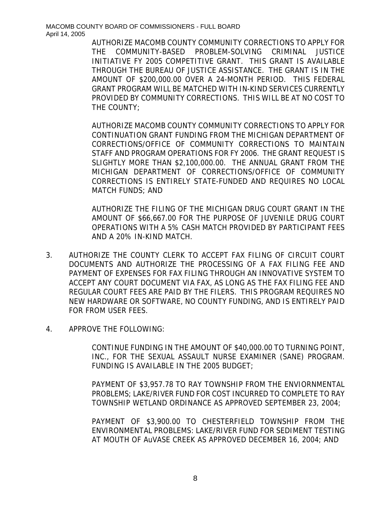> AUTHORIZE MACOMB COUNTY COMMUNITY CORRECTIONS TO APPLY FOR THE COMMUNITY-BASED PROBLEM-SOLVING CRIMINAL JUSTICE INITIATIVE FY 2005 COMPETITIVE GRANT. THIS GRANT IS AVAILABLE THROUGH THE BUREAU OF JUSTICE ASSISTANCE. THE GRANT IS IN THE AMOUNT OF \$200,000.00 OVER A 24-MONTH PERIOD. THIS FEDERAL GRANT PROGRAM WILL BE MATCHED WITH IN-KIND SERVICES CURRENTLY PROVIDED BY COMMUNITY CORRECTIONS. THIS WILL BE AT NO COST TO THE COUNTY;

> AUTHORIZE MACOMB COUNTY COMMUNITY CORRECTIONS TO APPLY FOR CONTINUATION GRANT FUNDING FROM THE MICHIGAN DEPARTMENT OF CORRECTIONS/OFFICE OF COMMUNITY CORRECTIONS TO MAINTAIN STAFF AND PROGRAM OPERATIONS FOR FY 2006. THE GRANT REQUEST IS SLIGHTLY MORE THAN \$2,100,000.00. THE ANNUAL GRANT FROM THE MICHIGAN DEPARTMENT OF CORRECTIONS/OFFICE OF COMMUNITY CORRECTIONS IS ENTIRELY STATE-FUNDED AND REQUIRES NO LOCAL MATCH FUNDS; AND

> AUTHORIZE THE FILING OF THE MICHIGAN DRUG COURT GRANT IN THE AMOUNT OF \$66,667.00 FOR THE PURPOSE OF JUVENILE DRUG COURT OPERATIONS WITH A 5% CASH MATCH PROVIDED BY PARTICIPANT FEES AND A 20% IN-KIND MATCH.

- 3. AUTHORIZE THE COUNTY CLERK TO ACCEPT FAX FILING OF CIRCUIT COURT DOCUMENTS AND AUTHORIZE THE PROCESSING OF A FAX FILING FEE AND PAYMENT OF EXPENSES FOR FAX FILING THROUGH AN INNOVATIVE SYSTEM TO ACCEPT ANY COURT DOCUMENT VIA FAX, AS LONG AS THE FAX FILING FEE AND REGULAR COURT FEES ARE PAID BY THE FILERS. THIS PROGRAM REQUIRES NO NEW HARDWARE OR SOFTWARE, NO COUNTY FUNDING, AND IS ENTIRELY PAID FOR FROM USER FEES.
- 4. APPROVE THE FOLLOWING:

CONTINUE FUNDING IN THE AMOUNT OF \$40,000.00 TO TURNING POINT, INC., FOR THE SEXUAL ASSAULT NURSE EXAMINER (SANE) PROGRAM. FUNDING IS AVAILABLE IN THE 2005 BUDGET;

PAYMENT OF \$3,957.78 TO RAY TOWNSHIP FROM THE ENVIORNMENTAL PROBLEMS; LAKE/RIVER FUND FOR COST INCURRED TO COMPLETE TO RAY TOWNSHIP WETLAND ORDINANCE AS APPROVED SEPTEMBER 23, 2004;

PAYMENT OF \$3,900.00 TO CHESTERFIELD TOWNSHIP FROM THE ENVIRONMENTAL PROBLEMS: LAKE/RIVER FUND FOR SEDIMENT TESTING AT MOUTH OF AuVASE CREEK AS APPROVED DECEMBER 16, 2004; AND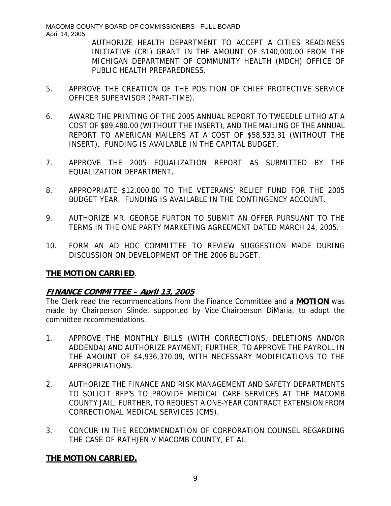AUTHORIZE HEALTH DEPARTMENT TO ACCEPT A CITIES READINESS INITIATIVE (CRI) GRANT IN THE AMOUNT OF \$140,000.00 FROM THE MICHIGAN DEPARTMENT OF COMMUNITY HEALTH (MDCH) OFFICE OF PUBLIC HEALTH PREPAREDNESS.

- 5. APPROVE THE CREATION OF THE POSITION OF CHIEF PROTECTIVE SERVICE OFFICER SUPERVISOR (PART-TIME).
- 6. AWARD THE PRINTING OF THE 2005 ANNUAL REPORT TO TWEEDLE LITHO AT A COST OF \$89,480.00 (WITHOUT THE INSERT), AND THE MAILING OF THE ANNUAL REPORT TO AMERICAN MAILERS AT A COST OF \$58,533.31 (WITHOUT THE INSERT). FUNDING IS AVAILABLE IN THE CAPITAL BUDGET.
- 7. APPROVE THE 2005 EQUALIZATION REPORT AS SUBMITTED BY THE EQUALIZATION DEPARTMENT.
- 8. APPROPRIATE \$12,000.00 TO THE VETERANS' RELIEF FUND FOR THE 2005 BUDGET YEAR. FUNDING IS AVAILABLE IN THE CONTINGENCY ACCOUNT.
- 9. AUTHORIZE MR. GEORGE FURTON TO SUBMIT AN OFFER PURSUANT TO THE TERMS IN THE ONE PARTY MARKETING AGREEMENT DATED MARCH 24, 2005.
- 10. FORM AN AD HOC COMMITTEE TO REVIEW SUGGESTION MADE DURING DISCUSSION ON DEVELOPMENT OF THE 2006 BUDGET.

# **THE MOTION CARRIED**.

# **FINANCE COMMITTEE – April 13, 2005**

The Clerk read the recommendations from the Finance Committee and a **MOTION** was made by Chairperson Slinde, supported by Vice-Chairperson DiMaria, to adopt the committee recommendations.

- 1. APPROVE THE MONTHLY BILLS (WITH CORRECTIONS, DELETIONS AND/OR ADDENDA) AND AUTHORIZE PAYMENT; FURTHER, TO APPROVE THE PAYROLL IN THE AMOUNT OF \$4,936,370.09, WITH NECESSARY MODIFICATIONS TO THE APPROPRIATIONS.
- 2. AUTHORIZE THE FINANCE AND RISK MANAGEMENT AND SAFETY DEPARTMENTS TO SOLICIT RFP'S TO PROVIDE MEDICAL CARE SERVICES AT THE MACOMB COUNTY JAIL; FURTHER, TO REQUEST A ONE-YEAR CONTRACT EXTENSION FROM CORRECTIONAL MEDICAL SERVICES (CMS).
- 3. CONCUR IN THE RECOMMENDATION OF CORPORATION COUNSEL REGARDING THE CASE OF RATHJEN V MACOMB COUNTY, ET AL.

# **THE MOTION CARRIED.**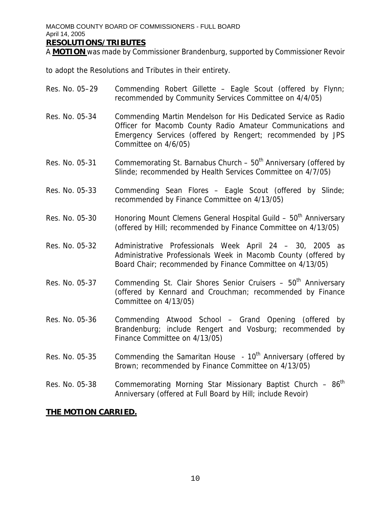#### **RESOLUTIONS/TRIBUTES**

A **MOTION** was made by Commissioner Brandenburg, supported by Commissioner Revoir

to adopt the Resolutions and Tributes in their entirety.

- Res. No. 05–29 Commending Robert Gillette Eagle Scout (offered by Flynn; recommended by Community Services Committee on 4/4/05)
- Res. No. 05-34 Commending Martin Mendelson for His Dedicated Service as Radio Officer for Macomb County Radio Amateur Communications and Emergency Services (offered by Rengert; recommended by JPS Committee on 4/6/05)
- Res. No. 05-31 Commemorating St. Barnabus Church  $50<sup>th</sup>$  Anniversary (offered by Slinde; recommended by Health Services Committee on 4/7/05)
- Res. No. 05-33 Commending Sean Flores Eagle Scout (offered by Slinde; recommended by Finance Committee on 4/13/05)
- Res. No. 05-30 Honoring Mount Clemens General Hospital Guild  $-50<sup>th</sup>$  Anniversary (offered by Hill; recommended by Finance Committee on 4/13/05)
- Res. No. 05-32 Administrative Professionals Week April 24 30, 2005 as Administrative Professionals Week in Macomb County (offered by Board Chair; recommended by Finance Committee on 4/13/05)
- Res. No. 05-37 Commending St. Clair Shores Senior Cruisers  $-50<sup>th</sup>$  Anniversary (offered by Kennard and Crouchman; recommended by Finance Committee on 4/13/05)
- Res. No. 05-36 Commending Atwood School Grand Opening (offered by Brandenburg; include Rengert and Vosburg; recommended by Finance Committee on 4/13/05)
- Res. No. 05-35 Commending the Samaritan House 10<sup>th</sup> Anniversary (offered by Brown; recommended by Finance Committee on 4/13/05)
- Res. No. 05-38 Commemorating Morning Star Missionary Baptist Church  $-86^{th}$ Anniversary (offered at Full Board by Hill; include Revoir)

### **THE MOTION CARRIED.**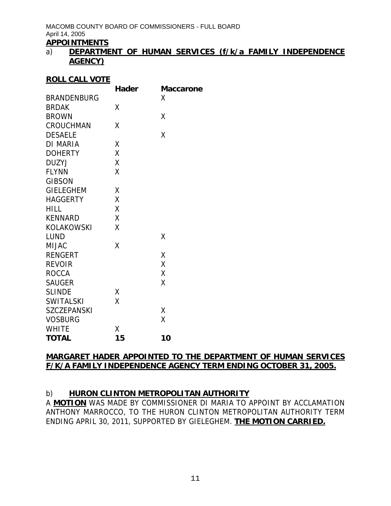# **APPOINTMENTS**

### a) **DEPARTMENT OF HUMAN SERVICES (f/k/a FAMILY INDEPENDENCE AGENCY)**

#### **ROLL CALL VOTE**

|                    | <b>Hader</b> | <b>Maccarone</b> |
|--------------------|--------------|------------------|
| <b>BRANDENBURG</b> |              | Χ                |
| <b>BRDAK</b>       | Χ            |                  |
| <b>BROWN</b>       |              | Χ                |
| <b>CROUCHMAN</b>   | Χ            |                  |
| <b>DESAELE</b>     |              | X                |
| <b>DI MARIA</b>    | Χ            |                  |
| <b>DOHERTY</b>     | Χ            |                  |
| <b>DUZYJ</b>       | Χ            |                  |
| <b>FLYNN</b>       | Χ            |                  |
| <b>GIBSON</b>      |              |                  |
| <b>GIELEGHEM</b>   | Χ            |                  |
| <b>HAGGERTY</b>    | Χ            |                  |
| <b>HILL</b>        | X            |                  |
| <b>KENNARD</b>     | X            |                  |
| <b>KOLAKOWSKI</b>  | Χ            |                  |
| <b>LUND</b>        |              | X                |
| <b>MIJAC</b>       | Χ            |                  |
| <b>RENGERT</b>     |              | Χ                |
| <b>REVOIR</b>      |              | Χ                |
| <b>ROCCA</b>       |              | Χ                |
| <b>SAUGER</b>      |              | Χ                |
| <b>SLINDE</b>      | Χ            |                  |
| <b>SWITALSKI</b>   | Χ            |                  |
| <b>SZCZEPANSKI</b> |              | χ                |
| <b>VOSBURG</b>     |              | X                |
| <b>WHITE</b>       | Χ            |                  |
| <b>TOTAL</b>       | 15           | 10               |

### **MARGARET HADER APPOINTED TO THE DEPARTMENT OF HUMAN SERVICES F/K/A FAMILY INDEPENDENCE AGENCY TERM ENDING OCTOBER 31, 2005.**

# b) **HURON CLINTON METROPOLITAN AUTHORITY**

A **MOTION** WAS MADE BY COMMISSIONER DI MARIA TO APPOINT BY ACCLAMATION ANTHONY MARROCCO, TO THE HURON CLINTON METROPOLITAN AUTHORITY TERM ENDING APRIL 30, 2011, SUPPORTED BY GIELEGHEM. **THE MOTION CARRIED.**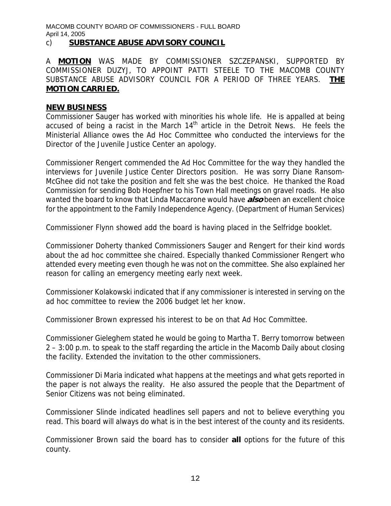#### c) **SUBSTANCE ABUSE ADVISORY COUNCIL**

A **MOTION** WAS MADE BY COMMISSIONER SZCZEPANSKI, SUPPORTED BY COMMISSIONER DUZYJ, TO APPOINT PATTI STEELE TO THE MACOMB COUNTY SUBSTANCE ABUSE ADVISORY COUNCIL FOR A PERIOD OF THREE YEARS. **THE MOTION CARRIED.**

#### **NEW BUSINESS**

Commissioner Sauger has worked with minorities his whole life. He is appalled at being accused of being a racist in the March  $14<sup>th</sup>$  article in the Detroit News. He feels the Ministerial Alliance owes the Ad Hoc Committee who conducted the interviews for the Director of the Juvenile Justice Center an apology.

Commissioner Rengert commended the Ad Hoc Committee for the way they handled the interviews for Juvenile Justice Center Directors position. He was sorry Diane Ransom-McGhee did not take the position and felt she was the best choice. He thanked the Road Commission for sending Bob Hoepfner to his Town Hall meetings on gravel roads. He also wanted the board to know that Linda Maccarone would have **also** been an excellent choice for the appointment to the Family Independence Agency. (Department of Human Services)

Commissioner Flynn showed add the board is having placed in the Selfridge booklet.

Commissioner Doherty thanked Commissioners Sauger and Rengert for their kind words about the ad hoc committee she chaired. Especially thanked Commissioner Rengert who attended every meeting even though he was not on the committee. She also explained her reason for calling an emergency meeting early next week.

Commissioner Kolakowski indicated that if any commissioner is interested in serving on the ad hoc committee to review the 2006 budget let her know.

Commissioner Brown expressed his interest to be on that Ad Hoc Committee.

Commissioner Gieleghem stated he would be going to Martha T. Berry tomorrow between 2 – 3:00 p.m. to speak to the staff regarding the article in the Macomb Daily about closing the facility. Extended the invitation to the other commissioners.

Commissioner Di Maria indicated what happens at the meetings and what gets reported in the paper is not always the reality. He also assured the people that the Department of Senior Citizens was not being eliminated.

Commissioner Slinde indicated headlines sell papers and not to believe everything you read. This board will always do what is in the best interest of the county and its residents.

Commissioner Brown said the board has to consider **all** options for the future of this county.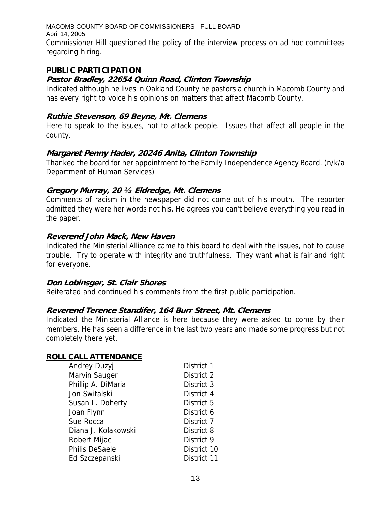MACOMB COUNTY BOARD OF COMMISSIONERS - FULL BOARD April 14, 2005 Commissioner Hill questioned the policy of the interview process on ad hoc committees regarding hiring.

### **PUBLIC PARTICIPATION**

### **Pastor Bradley, 22654 Quinn Road, Clinton Township**

Indicated although he lives in Oakland County he pastors a church in Macomb County and has every right to voice his opinions on matters that affect Macomb County.

#### **Ruthie Stevenson, 69 Beyne, Mt. Clemens**

Here to speak to the issues, not to attack people. Issues that affect all people in the county.

### **Margaret Penny Hader, 20246 Anita, Clinton Township**

Thanked the board for her appointment to the Family Independence Agency Board. (n/k/a Department of Human Services)

### **Gregory Murray, 20 ½ Eldredge, Mt. Clemens**

Comments of racism in the newspaper did not come out of his mouth. The reporter admitted they were her words not his. He agrees you can't believe everything you read in the paper.

### **Reverend John Mack, New Haven**

Indicated the Ministerial Alliance came to this board to deal with the issues, not to cause trouble. Try to operate with integrity and truthfulness. They want what is fair and right for everyone.

### **Don Lobinsger, St. Clair Shores**

Reiterated and continued his comments from the first public participation.

### **Reverend Terence Standifer, 164 Burr Street, Mt. Clemens**

Indicated the Ministerial Alliance is here because they were asked to come by their members. He has seen a difference in the last two years and made some progress but not completely there yet.

### **ROLL CALL ATTENDANCE**

| <b>Andrey Duzyj</b>   | District 1  |
|-----------------------|-------------|
| Marvin Sauger         | District 2  |
| Phillip A. DiMaria    | District 3  |
| Jon Switalski         | District 4  |
| Susan L. Doherty      | District 5  |
| Joan Flynn            | District 6  |
| Sue Rocca             | District 7  |
| Diana J. Kolakowski   | District 8  |
| Robert Mijac          | District 9  |
| <b>Philis DeSaele</b> | District 10 |
| Ed Szczepanski        | District 11 |